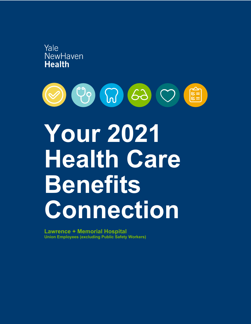



# **Your 2021 Health Care Benefits Connection**

**Lawrence + Memorial Hospital Union Employees (excluding Public Safety Workers)**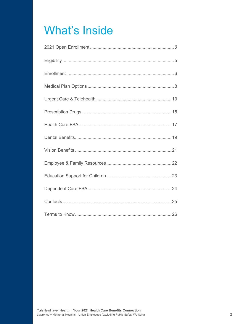## **What's Inside**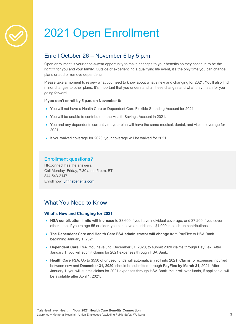## 2021 Open Enrollment

## Enroll October 26 – November 6 by 5 p.m.

Open enrollment is your once-a-year opportunity to make changes to your benefits so they continue to be the right fit for you and your family. Outside of experiencing a qualifying life event, it's the only time you can change plans or add or remove dependents.

Please take a moment to review what you need to know about what's new and changing for 2021. You'll also find minor changes to other plans. It's important that you understand all these changes and what they mean for you going forward.

#### **If you don't enroll by 5 p.m. on November 6:**

- You will not have a Health Care or Dependent Care Flexible Spending Account for 2021.
- You will be unable to contribute to the Health Savings Account in 2021.
- You and any dependents currently on your plan will have the same medical, dental, and vision coverage for 2021.
- If you waived coverage for 2020, your coverage will be waived for 2021.

## Enrollment questions?

HRConnect has the answers. Call Monday–Friday, 7:30 a.m.–5 p.m. ET 844-543-2147 Enroll now: ynhhsbenefits.com

## What You Need to Know

## **What's New and Changing for 2021**

- **HSA contribution limits will increase** to \$3,600 if you have individual coverage, and \$7,200 if you cover others, too. If you're age 55 or older, you can save an additional \$1,000 in catch-up contributions.
- **The Dependent Care and Health Care FSA administrator will change** from PayFlex to HSA Bank beginning January 1, 2021.
- **Dependent Care FSA.** You have until December 31, 2020, to submit 2020 claims through PayFlex. After January 1, you will submit claims for 2021 expenses through HSA Bank.
- Health Care FSA. Up to \$550 of unused funds will automatically roll into 2021. Claims for expenses incurred between now and **December 31, 2020**, should be submitted through **PayFlex by March 31**, 2021. After January 1, you will submit claims for 2021 expenses through HSA Bank. Your roll over funds, if applicable, will be available after April 1, 2021.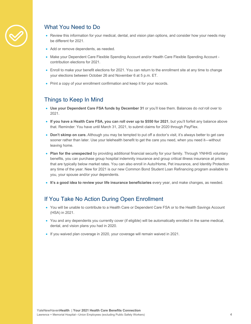

## What You Need to Do

- Review this information for your medical, dental, and vision plan options, and consider how your needs may be different for 2021.
- Add or remove dependents, as needed.
- Make your Dependent Care Flexible Spending Account and/or Health Care Flexible Spending Account contribution elections for 2021.
- Enroll to make your benefit elections for 2021. You can return to the enrollment site at any time to change your elections between October 26 and November 6 at 5 p.m. ET.
- Print a copy of your enrollment confirmation and keep it for your records.

## Things to Keep In Mind

- **Use your Dependent Care FSA funds by December 31** or you'll lose them. Balances do *not* roll over to 2021.
- **If you have a Health Care FSA, you can roll over up to \$550 for 2021**, but you'll forfeit any balance above that. Reminder: You have until March 31, 2021, to submit claims for 2020 through PayFlex.
- **Don't skimp on care.** Although you may be tempted to put off a doctor's visit, it's always better to get care sooner rather than later. Use your telehealth benefit to get the care you need, when you need it—without leaving home.
- **Plan for the unexpected** by providing additional financial security for your family. Through YNHHS voluntary benefits, you can purchase group hospital indemnity insurance and group critical illness insurance at prices that are typically below market rates. You can also enroll in Auto/Home, Pet insurance, and Identity Protection any time of the year. New for 2021 is our new Common Bond Student Loan Refinancing program available to you, your spouse and/or your dependents.
- **It's a good idea to review your life insurance beneficiaries** every year, and make changes, as needed.

## If You Take No Action During Open Enrollment

- You will be unable to contribute to a Health Care or Dependent Care FSA or to the Health Savings Account (HSA) in 2021.
- You and any dependents you currently cover (if eligible) will be automatically enrolled in the same medical, dental, and vision plans you had in 2020.
- If you waived plan coverage in 2020, your coverage will remain waived in 2021.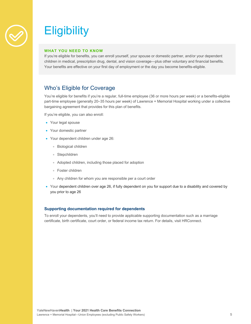

## **Eligibility**

### **WHAT YOU NEED TO KNOW**

If you're eligible for benefits, you can enroll yourself, your spouse or domestic partner, and/or your dependent children in medical, prescription drug, dental, and vision coverage—plus other voluntary and financial benefits. Your benefits are effective on your first day of employment or the day you become benefits-eligible.

## Who's Eligible for Coverage

You're eligible for benefits if you're a regular, full-time employee (36 or more hours per week) or a benefits-eligible part-time employee (generally 20–35 hours per week) of Lawrence + Memorial Hospital working under a collective bargaining agreement that provides for this plan of benefits.

If you're eligible, you can also enroll:

- Your legal spouse
- Your domestic partner
- Your dependent children under age 26:
	- Biological children
	- Stepchildren
	- Adopted children, including those placed for adoption
	- Foster children
	- Any children for whom you are responsible per a court order
- Your dependent children over age 26, if fully dependent on you for support due to a disability and covered by you prior to age 26

#### **Supporting documentation required for dependents**

To enroll your dependents, you'll need to provide applicable supporting documentation such as a marriage certificate, birth certificate, court order, or federal income tax return. For details, visit HRConnect.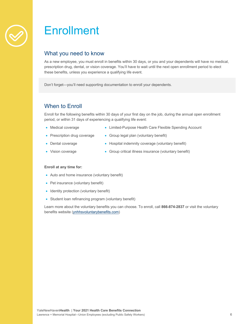

## **Enrollment**

## What you need to know

As a new employee, you must enroll in benefits within 30 days, or you and your dependents will have no medical, prescription drug, dental, or vision coverage. You'll have to wait until the next open enrollment period to elect these benefits, unless you experience a qualifying life event.

Don't forget—you'll need supporting documentation to enroll your dependents.

## When to Enroll

Enroll for the following benefits within 30 days of your first day on the job, during the annual open enrollment period, or within 31 days of experiencing a qualifying life event:

- Medical coverage
- Limited-Purpose Health Care Flexible Spending Account
- Prescription drug coverage
- Group legal plan (voluntary benefit)
- Dental coverage
- Hospital indemnity coverage (voluntary benefit)
- Vision coverage
- Group critical illness insurance (voluntary benefit)

### **Enroll at any time for:**

- Auto and home insurance (voluntary benefit)
- Pet insurance (voluntary benefit)
- Identity protection (voluntary benefit)
- Student loan refinancing program (voluntary benefit)

Learn more about the voluntary benefits you can choose. To enroll, call **866-874-2837** or visit the voluntary benefits website (ynhhsvoluntarybenefits.com)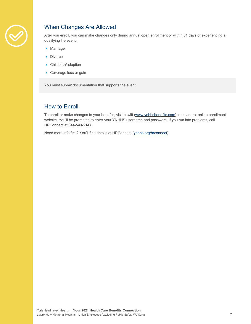

## When Changes Are Allowed

After you enroll, you can make changes only during annual open enrollment or within 31 days of experiencing a qualifying life event:

- Marriage
- Divorce
- Childbirth/adoption
- Coverage loss or gain

You must submit documentation that supports the event.

## How to Enroll

To enroll or make changes to your benefits, visit bswift (www.ynhhsbenefits.com), our secure, online enrollment website. You'll be prompted to enter your YNHHS username and password. If you run into problems, call HRConnect at **844-543-2147**.

Need more info first? You'll find details at HRConnect (ynhhs.org/hrconnect).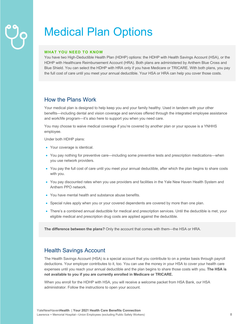## Medical Plan Options

### **WHAT YOU NEED TO KNOW**

You have two High-Deductible Health Plan (HDHP) options: the HDHP with Health Savings Account (HSA), or the HDHP with Healthcare Reimbursement Account (HRA). Both plans are administered by Anthem Blue Cross and Blue Shield. You can select the HDHP with HRA only if you have Medicare or TRICARE. With both plans, you pay the full cost of care until you meet your annual deductible. Your HSA or HRA can help you cover those costs.

## How the Plans Work

Your medical plan is designed to help keep you and your family healthy. Used in tandem with your other benefits—including dental and vision coverage and services offered through the integrated employee assistance and work/life program—it's also here to support you when you need care.

You may choose to waive medical coverage if you're covered by another plan or your spouse is a YNHHS employee.

Under both HDHP plans:

- Your coverage is identical.
- You pay nothing for preventive care—including some preventive tests and prescription medications—when you use network providers.
- You pay the full cost of care until you meet your annual deductible, after which the plan begins to share costs with you.
- You pay discounted rates when you use providers and facilities in the Yale New Haven Health System and Anthem PPO network.
- You have mental health and substance abuse benefits.
- Special rules apply when you or your covered dependents are covered by more than one plan.
- There's a combined annual deductible for medical and prescription services. Until the deductible is met, your eligible medical and prescription drug costs are applied against the deductible.

**The difference between the plans?** Only the account that comes with them—the HSA or HRA.

## Health Savings Account

The Health Savings Account (HSA) is a special account that you contribute to on a pretax basis through payroll deductions. Your employer contributes to it, too. You can use the money in your HSA to cover your health care expenses until you reach your annual deductible and the plan begins to share those costs with you. **The HSA is not available to you if you are currently enrolled in Medicare or TRICARE.**

When you enroll for the HDHP with HSA, you will receive a welcome packet from HSA Bank, our HSA administrator. Follow the instructions to open your account.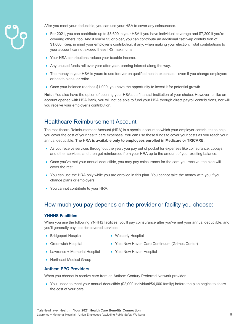

After you meet your deductible, you can use your HSA to cover any coinsurance.

- For 2021, you can contribute up to \$3,600 in your HSA if you have individual coverage and \$7,200 if you're covering others, too. And if you're 55 or older, you can contribute an additional catch-up contribution of \$1,000. Keep in mind your employer's contribution, if any, when making your election. Total contributions to your account cannot exceed these IRS maximums.
- Your HSA contributions reduce your taxable income.
- Any unused funds roll over year after year, earning interest along the way.
- The money in your HSA is yours to use forever on qualified health expenses—even if you change employers or health plans, or retire.
- Once your balance reaches \$1,000, you have the opportunity to invest it for potential growth.

**Note:** You also have the option of opening your HSA at a financial institution of your choice. However, unlike an account opened with HSA Bank, you will not be able to fund your HSA through direct payroll contributions, nor will you receive your employer's contribution.

## Healthcare Reimbursement Account

The Healthcare Reimbursement Account (HRA) is a special account to which your employer contributes to help you cover the cost of your health care expenses. You can use these funds to cover your costs as you reach your annual deductible. **The HRA is available only to employees enrolled in Medicare or TRICARE.**

- As you receive services throughout the year, you pay out of pocket for expenses like coinsurance, copays, and other services, and then get reimbursed from your HRA up to the amount of your existing balance.
- Once you've met your annual deductible, you may pay coinsurance for the care you receive; the plan will cover the rest.
- You can use the HRA only while you are enrolled in this plan. You cannot take the money with you if you change plans or employers.
- You cannot contribute to your HRA.

## How much you pay depends on the provider or facility you choose:

### **YNHHS Facilities**

When you use the following YNHHS facilities, you'll pay coinsurance after you've met your annual deductible, and you'll generally pay less for covered services:

- Bridgeport Hospital
- Westerly Hospital
- Greenwich Hospital
- 
- Yale New Haven Care Continuum (Grimes Center)
- Lawrence + Memorial Hospital
- Yale New Haven Hospital
- Northeast Medical Group

## **Anthem PPO Providers**

When you choose to receive care from an Anthem Century Preferred Network provider:

• You'll need to meet your annual deductible (\$2,000 individual/\$4,000 family) before the plan begins to share the cost of your care.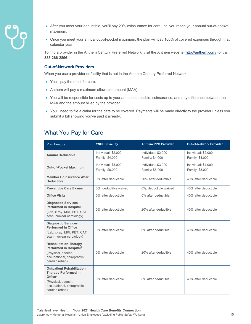

- After you meet your deductible, you'll pay 20% coinsurance for care until you reach your annual out-of-pocket maximum.
- Once you meet your annual out-of-pocket maximum, the plan will pay 100% of covered expenses through that calendar year.

To find a provider in the Anthem Century Preferred Network, visit the Anthem website (http://anthem.com/) or call **888-266-2896**.

#### **Out-of-Network Providers**

When you use a provider or facility that is not in the Anthem Century Preferred Network:

- You'll pay the most for care.
- Anthem will pay a maximum allowable amount (MAA).
- You will be responsible for costs up to your annual deductible, coinsurance, and any difference between the MAA and the amount billed by the provider.
- You'll need to file a claim for the care to be covered. Payments will be made directly to the provider unless you submit a bill showing you've paid it already.

## What You Pay for Care

| <b>Plan Feature</b>                                                                                                                                  | <b>YNHHS Facility</b>                  | <b>Anthem PPO Provider</b>             | <b>Out-of-Network Provider</b>         |
|------------------------------------------------------------------------------------------------------------------------------------------------------|----------------------------------------|----------------------------------------|----------------------------------------|
| <b>Annual Deductible</b>                                                                                                                             | Individual: \$2,000<br>Family: \$4,000 | Individual: \$2,000<br>Family: \$4,000 | Individual: \$2,000<br>Family: \$4,000 |
| <b>Out-of-Pocket Maximum</b>                                                                                                                         | Individual: \$3,000<br>Family: \$6,000 | Individual: \$3,000<br>Family: \$6,000 | Individual: \$4,000<br>Family: \$8,000 |
| <b>Member Coinsurance After</b><br><b>Deductible</b>                                                                                                 | 0% after deductible                    | 20% after deductible                   | 40% after deductible                   |
| <b>Preventive Care Exams</b>                                                                                                                         | 0%, deductible waived                  | 0%, deductible waived                  | 40% after deductible                   |
| <b>Office Visits</b>                                                                                                                                 | 0% after deductible                    | 0% after deductible                    | 40% after deductible                   |
| <b>Diagnostic Services</b><br><b>Performed in Hospital</b><br>(Lab, x-ray, MRI, PET, CAT<br>scan, nuclear cardiology)                                | 0% after deductible                    | 20% after deductible                   | 40% after deductible                   |
| <b>Diagnostic Services</b><br><b>Performed in Office</b><br>(Lab, x-ray, MRI, PET, CAT<br>scan, nuclear cardiology)                                  | 0% after deductible                    | 0% after deductible                    | 40% after deductible                   |
| <b>Rehabilitation Therapy</b><br>Performed in Hospital <sup>1</sup><br>(Physical, speech,<br>occupational, chiropractic,<br>cardiac rehab)           | 0% after deductible                    | 20% after deductible                   | 40% after deductible                   |
| <b>Outpatient Rehabilitation</b><br><b>Therapy Performed in</b><br>Office $2$<br>(Physical, speech,<br>occupational, chiropractic,<br>cardiac rehab) | 0% after deductible                    | 0% after deductible                    | 40% after deductible                   |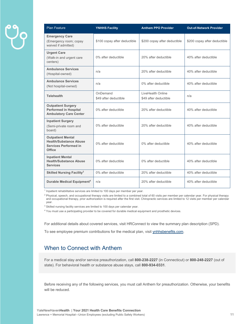| <b>Plan Feature</b>                                                                                        | <b>YNHHS Facility</b>             | <b>Anthem PPO Provider</b>                 | <b>Out-of-Network Provider</b> |
|------------------------------------------------------------------------------------------------------------|-----------------------------------|--------------------------------------------|--------------------------------|
| <b>Emergency Care</b><br>(Emergency room; copay<br>waived if admitted)                                     | \$100 copay after deductible      | \$200 copay after deductible               | \$200 copay after deductible   |
| <b>Urgent Care</b><br>(Walk-in and urgent care<br>centers)                                                 | 0% after deductible               | 20% after deductible                       | 40% after deductible           |
| <b>Ambulance Services</b><br>(Hospital-owned)                                                              | n/a                               | 20% after deductible                       | 40% after deductible           |
| <b>Ambulance Services</b><br>(Not hospital-owned)                                                          | n/a                               | 0% after deductible                        | 40% after deductible           |
| <b>Telehealth</b>                                                                                          | OnDemand<br>\$49 after deductible | LiveHealth Online<br>\$49 after deductible | n/a                            |
| <b>Outpatient Surgery</b><br><b>Performed in Hospital</b><br><b>Ambulatory Care Center</b>                 | 0% after deductible               | 20% after deductible                       | 40% after deductible           |
| <b>Inpatient Surgery</b><br>(Semi-private room and<br>board)                                               | 0% after deductible               | 20% after deductible                       | 40% after deductible           |
| <b>Outpatient Mental</b><br><b>Health/Substance Abuse</b><br><b>Services Performed in</b><br><b>Office</b> | 0% after deductible               | 0% after deductible                        | 40% after deductible           |
| <b>Inpatient Mental</b><br><b>Health/Substance Abuse</b><br><b>Services</b>                                | 0% after deductible               | 0% after deductible                        | 40% after deductible           |
| <b>Skilled Nursing Facility<sup>3</sup></b>                                                                | 0% after deductible               | 20% after deductible                       | 40% after deductible           |
| Durable Medical Equipment <sup>4</sup>                                                                     | n/a                               | 20% after deductible                       | 40% after deductible           |

<sup>1</sup> Inpatient rehabilitative services are limited to 100 days per member per year.

<sup>2</sup> Physical, speech, and occupational therapy visits are limited to a combined total of 60 visits per member per calendar year. For physical therapy and occupational therapy, prior authorization is required after the first visit. Chiropractic services are limited to 12 visits per member per calendar year.

<sup>3</sup> Skilled nursing facility services are limited to 100 days per calendar year.

<sup>4</sup> You must use a participating provider to be covered for durable medical equipment and prosthetic devices.

For additional details about covered services, visit HRConnect to view the summary plan description (SPD).

To see employee premium contributions for the medical plan, visit ynhhsbenefits.com.

## When to Connect with Anthem

For a medical stay and/or service preauthorization, call **800-238-2227** (in Connecticut) or **800-248-2227** (out of state). For behavioral health or substance abuse stays, call **800-934-0331**.

Before receiving any of the following services, you must call Anthem for preauthorization. Otherwise, your benefits will be reduced.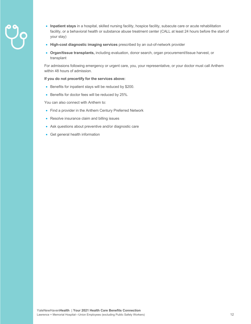- 
- **Inpatient stays** in a hospital, skilled nursing facility, hospice facility, subacute care or acute rehabilitation facility, or a behavioral health or substance abuse treatment center (CALL at least 24 hours before the start of your stay)
- **High-cost diagnostic imaging services** prescribed by an out-of-network provider
- **Organ/tissue transplants,** including evaluation, donor search, organ procurement/tissue harvest, or transplant

For admissions following emergency or urgent care, you, your representative, or your doctor must call Anthem within 48 hours of admission.

#### **If you do not precertify for the services above:**

- Benefits for inpatient stays will be reduced by \$200.
- Benefits for doctor fees will be reduced by 25%.

You can also connect with Anthem to:

- Find a provider in the Anthem Century Preferred Network
- Resolve insurance claim and billing issues
- Ask questions about preventive and/or diagnostic care
- Get general health information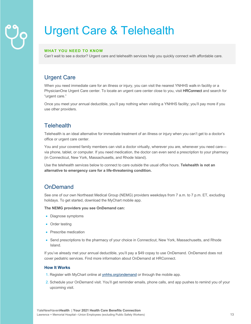## Urgent Care & Telehealth

## **WHAT YOU NEED TO KNOW**

Can't wait to see a doctor? Urgent care and telehealth services help you quickly connect with affordable care.

## Urgent Care

When you need immediate care for an illness or injury, you can visit the nearest YNHHS walk-in facility or a PhysicianOne Urgent Care center. To locate an urgent care center close to you, visit **HRConnect** and search for "urgent care."

Once you meet your annual deductible, you'll pay nothing when visiting a YNHHS facility; you'll pay more if you use other providers.

## **Telehealth**

Telehealth is an ideal alternative for immediate treatment of an illness or injury when you can't get to a doctor's office or urgent care center.

You and your covered family members can visit a doctor virtually, wherever you are, whenever you need care via phone, tablet, or computer. If you need medication, the doctor can even send a prescription to your pharmacy (in Connecticut, New York, Massachusetts, and Rhode Island).

Use the telehealth services below to connect to care outside the usual office hours. **Telehealth is not an alternative to emergency care for a life-threatening condition.** 

## **OnDemand**

See one of our own Northeast Medical Group (NEMG) providers weekdays from 7 a.m. to 7 p.m. ET, excluding holidays. To get started, download the MyChart mobile app.

**The NEMG providers you see OnDemand can:**

- Diagnose symptoms
- Order testing
- Prescribe medication
- Send prescriptions to the pharmacy of your choice in Connecticut, New York, Massachusetts, and Rhode Island.

If you've already met your annual deductible, you'll pay a \$49 copay to use OnDemand. OnDemand does not cover pediatric services. Find more information about OnDemand at HRConnect.

### **How It Works**

- 1. Register with MyChart online at ynhhs.org/ondemand or through the mobile app.
- 2. Schedule your OnDemand visit. You'll get reminder emails, phone calls, and app pushes to remind you of your upcoming visit.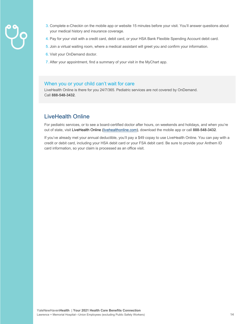

- 3. Complete e-Checkin on the mobile app or website 15 minutes before your visit. You'll answer questions about your medical history and insurance coverage.
- 4. Pay for your visit with a credit card, debit card, or your HSA Bank Flexible Spending Account debit card.
- 5. Join a virtual waiting room, where a medical assistant will greet you and confirm your information.
- 6. Visit your OnDemand doctor.
- 7. After your appointment, find a summary of your visit in the MyChart app.

## When you or your child can't wait for care

LiveHealth Online is there for you 24/7/365. Pediatric services are not covered by OnDemand. Call **888-548-3432**.

## LiveHealth Online

For pediatric services, or to see a board-certified doctor after hours, on weekends and holidays, and when you're out of state, visit LiveHealth Online (livehealthonline.com), download the mobile app or call **888-548-3432**.

If you've already met your annual deductible, you'll pay a \$49 copay to use LiveHealth Online. You can pay with a credit or debit card, including your HSA debit card or your FSA debit card. Be sure to provide your Anthem ID card information, so your claim is processed as an office visit.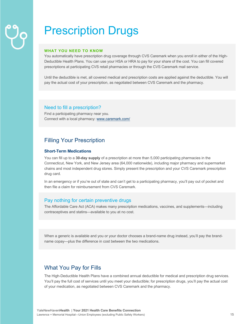## Prescription Drugs

#### **WHAT YOU NEED TO KNOW**

You automatically have prescription drug coverage through CVS Caremark when you enroll in either of the High-Deductible Health Plans. You can use your HSA or HRA to pay for your share of the cost. You can fill covered prescriptions at participating CVS retail pharmacies or through the CVS Caremark mail service.

Until the deductible is met, all covered medical and prescription costs are applied against the deductible. You will pay the actual cost of your prescription, as negotiated between CVS Caremark and the pharmacy.

## Need to fill a prescription?

Find a participating pharmacy near you. Connect with a local pharmacy: www.caremark.com/

## Filling Your Prescription

## **Short-Term Medications**

You can fill up to a **30-day supply** of a prescription at more than 5,000 participating pharmacies in the Connecticut, New York, and New Jersey area (64,000 nationwide), including major pharmacy and supermarket chains and most independent drug stores. Simply present the prescription and your CVS Caremark prescription drug card.

In an emergency or if you're out of state and can't get to a participating pharmacy, you'll pay out of pocket and then file a claim for reimbursement from CVS Caremark.

## Pay nothing for certain preventive drugs

The Affordable Care Act (ACA) makes many prescription medications, vaccines, and supplements—including contraceptives and statins—available to you at no cost.

When a generic is available and you or your doctor chooses a brand-name drug instead, you'll pay the brandname copay—plus the difference in cost between the two medications.

## What You Pay for Fills

The High-Deductible Health Plans have a combined annual deductible for medical and prescription drug services. You'll pay the full cost of services until you meet your deductible; for prescription drugs, you'll pay the actual cost of your medication, as negotiated between CVS Caremark and the pharmacy.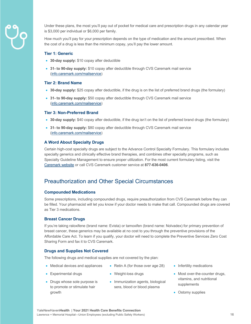

Under these plans, the most you'll pay out of pocket for medical care and prescription drugs in any calendar year is \$3,000 per individual or \$6,000 per family.

How much you'll pay for your prescription depends on the type of medication and the amount prescribed. When the cost of a drug is less than the minimum copay, you'll pay the lower amount.

#### **Tier 1: Generic**

- **30-day supply:** \$10 copay after deductible
- **31- to 90-day supply:** \$10 copay after deductible through CVS Caremark mail service (info.caremark.com/mailservice)

#### **Tier 2: Brand Name**

- **30-day supply:** \$25 copay after deductible, if the drug is on the list of preferred brand drugs (the formulary)
- **31- to 90-day supply:** \$50 copay after deductible through CVS Caremark mail service (info.caremark.com/mailservice)

#### **Tier 3: Non-Preferred Brand**

- **30-day supply:** \$40 copay after deductible, if the drug isn't on the list of preferred brand drugs (the formulary)
- **31- to 90-day supply:** \$80 copay after deductible through CVS Caremark mail service (info.caremark.com/mailservice)

#### **A Word About Specialty Drugs**

Certain high-cost specialty drugs are subject to the Advance Control Specialty Formulary. This formulary includes specialty generics and clinically effective brand therapies, and combines other specialty programs, such as Specialty Guideline Management to ensure proper utilization. For the most current formulary listing, visit the Caremark website or call CVS Caremark customer service at **877-636-0406**.

## Preauthorization and Other Special Circumstances

#### **Compounded Medications**

Some prescriptions, including compounded drugs, require preauthorization from CVS Caremark before they can be filled. Your pharmacist will let you know if your doctor needs to make that call. Compounded drugs are covered as Tier 3 medications.

#### **Breast Cancer Drugs**

• Experimental drugs

If you're taking raloxifene (brand name: Evista) or tamoxifen (brand name: Nolvadex) for primary prevention of breast cancer, these generics may be available at no cost to you through the preventive provisions of the Affordable Care Act. To learn if you qualify, your doctor will need to complete the Preventive Services Zero Cost Sharing Form and fax it to CVS Caremark.

#### **Drugs and Supplies Not Covered**

The following drugs and medical supplies are not covered by the plan:

- Medical devices and appliances
- Weight-loss drugs
- Drugs whose sole purpose is to promote or stimulate hair growth
- Immunization agents, biological sera, blood or blood plasma

• Retin A (for those over age 28)

- Infertility medications
- Most over-the-counter drugs, vitamins, and nutritional supplements
- Ostomy supplies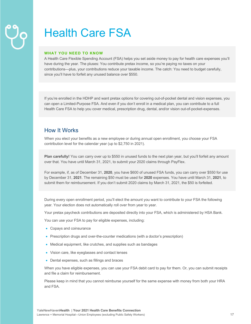## Health Care FSA

#### **WHAT YOU NEED TO KNOW**

A Health Care Flexible Spending Account (FSA) helps you set aside money to pay for health care expenses you'll have during the year. The pluses: You contribute pretax income, so you're paying no taxes on your contributions—plus, your contributions reduce your taxable income. The catch: You need to budget carefully, since you'll have to forfeit any unused balance over \$550.

If you're enrolled in the HDHP and want pretax options for covering out-of-pocket dental and vision expenses, you can open a Limited-Purpose FSA. And even if you don't enroll in a medical plan, you can contribute to a full Health Care FSA to help you cover medical, prescription drug, dental, and/or vision out-of-pocket-expenses.

## How It Works

When you elect your benefits as a new employee or during annual open enrollment, you choose your FSA contribution level for the calendar year (up to \$2,750 in 2021).

**Plan carefully!** You can carry over up to \$550 in unused funds to the next plan year, but you'll forfeit any amount over that. You have until March 31, 2021, to submit your 2020 claims through PayFlex.

For example, if, as of December 31, **2020**, you have \$600 of unused FSA funds, you can carry over \$550 for use by December 31, **2021**. The remaining \$50 must be used for **2020** expenses. You have until March 31, **2021**, to submit them for reimbursement. If you don't submit 2020 claims by March 31, 2021, the \$50 is forfeited.

During every open enrollment period, you'll elect the amount you want to contribute to your FSA the following year. Your election does not automatically roll over from year to year.

Your pretax paycheck contributions are deposited directly into your FSA, which is administered by HSA Bank.

You can use your FSA to pay for eligible expenses, including:

- Copays and coinsurance
- Prescription drugs and over-the-counter medications (with a doctor's prescription)
- Medical equipment, like crutches, and supplies such as bandages
- Vision care, like eyeglasses and contact lenses
- Dental expenses, such as fillings and braces

When you have eligible expenses, you can use your FSA debit card to pay for them. Or, you can submit receipts and file a claim for reimbursement.

Please keep in mind that you cannot reimburse yourself for the same expense with money from both your HRA and FSA.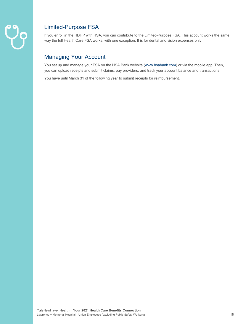

## Limited-Purpose FSA

If you enroll in the HDHP with HSA, you can contribute to the Limited-Purpose FSA. This account works the same way the full Health Care FSA works, with one exception: It is for dental and vision expenses only.

## Managing Your Account

You set up and manage your FSA on the HSA Bank website (www.hsabank.com) or via the mobile app. Then, you can upload receipts and submit claims, pay providers, and track your account balance and transactions.

You have until March 31 of the following year to submit receipts for reimbursement.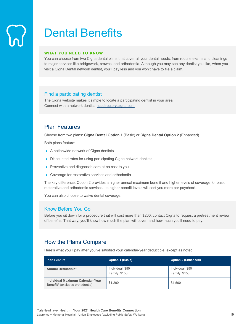## Dental Benefits

#### **WHAT YOU NEED TO KNOW**

You can choose from two Cigna dental plans that cover all your dental needs, from routine exams and cleanings to major services like bridgework, crowns, and orthodontia. Although you may see any dentist you like, when you visit a Cigna Dental network dentist, you'll pay less and you won't have to file a claim.

## Find a participating dentist

The Cigna website makes it simple to locate a participating dentist in your area. Connect with a network dentist: hcpdirectory.cigna.com

## Plan Features

Choose from two plans: **Cigna Dental Option 1** (Basic) or **Cigna Dental Option 2** (Enhanced).

Both plans feature:

- A nationwide network of Cigna dentists
- Discounted rates for using participating Cigna network dentists
- Preventive and diagnostic care at no cost to you
- Coverage for restorative services and orthodontia

The key difference: Option 2 provides a higher annual maximum benefit and higher levels of coverage for basic restorative and orthodontic services. Its higher benefit levels will cost you more per paycheck.

You can also choose to waive dental coverage.

## Know Before You Go

Before you sit down for a procedure that will cost more than \$200, contact Cigna to request a pretreatment review of benefits. That way, you'll know how much the plan will cover, and how much you'll need to pay.

## How the Plans Compare

Here's what you'll pay after you've satisfied your calendar-year deductible, except as noted.

| <b>Plan Feature</b>                                                 | <b>Option 1 (Basic)</b>           | <b>Option 2 (Enhanced)</b>        |
|---------------------------------------------------------------------|-----------------------------------|-----------------------------------|
| <b>Annual Deductible*</b>                                           | Individual: \$50<br>Family: \$150 | Individual: \$50<br>Family: \$150 |
| Individual Maximum Calendar-Year<br>Benefit* (excludes orthodontia) | \$1,200                           | \$1,500                           |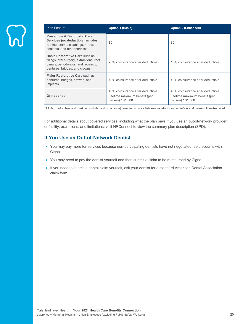| <b>Plan Feature</b>                                                                                                                                  | <b>Option 1 (Basic)</b>                                                                | <b>Option 2 (Enhanced)</b>                                                             |
|------------------------------------------------------------------------------------------------------------------------------------------------------|----------------------------------------------------------------------------------------|----------------------------------------------------------------------------------------|
| <b>Preventive &amp; Diagnostic Care</b><br>Services (no deductible) includes<br>routine exams, cleanings, x-rays,<br>sealants, and other services    | \$0                                                                                    | \$0                                                                                    |
| Basic Restorative Care such as<br>fillings, oral surgery, extractions, root<br>canals, periodontics, and repairs to<br>dentures, bridges, and crowns | 20% coinsurance after deductible                                                       | 10% coinsurance after deductible                                                       |
| Major Restorative Care such as<br>dentures, bridges, crowns, and<br>implants                                                                         | 40% coinsurance after deductible                                                       | 40% coinsurance after deductible                                                       |
| Orthodontia                                                                                                                                          | 40% coinsurance after deductible<br>Lifetime maximum benefit (per<br>person):* \$1,000 | 40% coinsurance after deductible<br>Lifetime maximum benefit (per<br>person):* \$1,500 |

\*All plan deductibles and maximums (dollar and occurrence) cross-accumulate between in-network and out-of-network unless otherwise noted.

For additional details about covered services, including what the plan pays if you use an out-of-network provider or facility, exclusions, and limitations, visit HRConnect to view the summary plan description (SPD).

## **If You Use an Out-of-Network Dentist**

- You may pay more for services because non-participating dentists have not negotiated fee discounts with Cigna.
- You may need to pay the dentist yourself and then submit a claim to be reimbursed by Cigna.
- If you need to submit a dental claim yourself, ask your dentist for a standard American Dental Association claim form.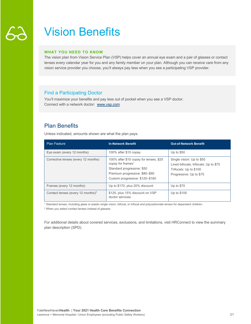## Vision Benefits

### **WHAT YOU NEED TO KNOW**

The vision plan from Vision Service Plan (VSP) helps cover an annual eye exam and a pair of glasses or contact lenses every calendar year for you and any family member on your plan. Although you can receive care from any vision service provider you choose, you'll always pay less when you see a participating VSP provider.

## Find a Participating Doctor

You'll maximize your benefits and pay less out of pocket when you see a VSP doctor. Connect with a network doctor: www.vsp.com

## Plan Benefits

Unless indicated, amounts shown are what the plan pays.

| <b>Plan Feature</b>                           | <b>In-Network Benefit</b>                                                                                                                                                  | <b>Out-of-Network Benefit</b>                                                                                           |
|-----------------------------------------------|----------------------------------------------------------------------------------------------------------------------------------------------------------------------------|-------------------------------------------------------------------------------------------------------------------------|
| Eye exam (every 12 months)                    | 100% after \$10 copay                                                                                                                                                      | Up to \$50                                                                                                              |
| Corrective lenses (every 12 months)           | 100% after \$10 copay for lenses, \$25<br>copay for frames <sup>1</sup><br>Standard progressive: \$50<br>Premium progressive: \$80-\$90<br>Custom progressive: \$120-\$160 | Single vision: Up to \$50<br>Lined bifocals, trifocals: Up to \$75<br>Trifocals: Up to \$100<br>Progressive: Up to \$75 |
| Frames (every 12 months)                      | Up to \$170, plus 20% discount                                                                                                                                             | Up to $$70$                                                                                                             |
| Contact lenses (every 12 months) <sup>2</sup> | \$125, plus 15% discount on VSP<br>doctor services                                                                                                                         | Up to \$105                                                                                                             |

<sup>1</sup> Standard lenses, including glass or plastic single vision, bifocal, or trifocal and polycarbonate lenses for dependent children.

<sup>2</sup> When you select contact lenses instead of glasses.

For additional details about covered services, exclusions, and limitations, visit HRConnect to view the summary plan description (SPD).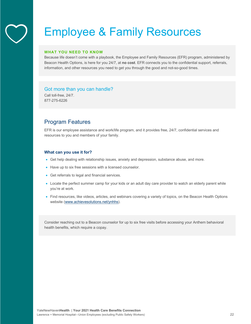## Employee & Family Resources

#### **WHAT YOU NEED TO KNOW**

Because life doesn't come with a playbook, the Employee and Family Resources (EFR) program, administered by Beacon Health Options, is here for you 24/7, at **no cost**. EFR connects you to the confidential support, referrals, information, and other resources you need to get you through the good and not-so-good times.

## Got more than you can handle?

Call toll-free, 24/7. 877-275-6226

## Program Features

EFR is our employee assistance and work/life program, and it provides free, 24/7, confidential services and resources to you and members of your family.

#### **What can you use it for?**

- Get help dealing with relationship issues, anxiety and depression, substance abuse, and more.
- Have up to six free sessions with a licensed counselor.
- Get referrals to legal and financial services.
- Locate the perfect summer camp for your kids or an adult day care provider to watch an elderly parent while you're at work.
- Find resources, like videos, articles, and webinars covering a variety of topics, on the Beacon Health Options website (www.achievesolutions.net/ynhhs).

Consider reaching out to a Beacon counselor for up to six free visits before accessing your Anthem behavioral health benefits, which require a copay.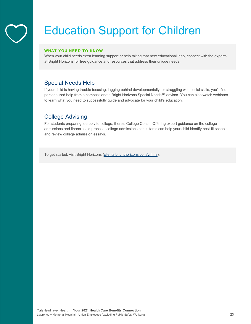## Education Support for Children

## **WHAT YOU NEED TO KNOW**

When your child needs extra learning support or help taking that next educational leap, connect with the experts at Bright Horizons for free guidance and resources that address their unique needs.

## Special Needs Help

If your child is having trouble focusing, lagging behind developmentally, or struggling with social skills, you'll find personalized help from a compassionate Bright Horizons Special Needs™ advisor. You can also watch webinars to learn what you need to successfully guide and advocate for your child's education.

## College Advising

For students preparing to apply to college, there's College Coach. Offering expert guidance on the college admissions and financial aid process, college admissions consultants can help your child identify best-fit schools and review college admission essays.

To get started, visit Bright Horizons (clients.brighthorizons.com/ynhhs).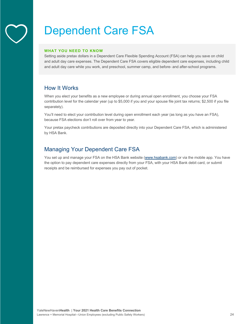## Dependent Care FSA

#### **WHAT YOU NEED TO KNOW**

Setting aside pretax dollars in a Dependent Care Flexible Spending Account (FSA) can help you save on child and adult day care expenses. The Dependent Care FSA covers eligible dependent care expenses, including child and adult day care while you work, and preschool, summer camp, and before- and after-school programs.

## How It Works

When you elect your benefits as a new employee or during annual open enrollment, you choose your FSA contribution level for the calendar year (up to \$5,000 if you and your spouse file joint tax returns; \$2,500 if you file separately).

You'll need to elect your contribution level during open enrollment each year (as long as you have an FSA), because FSA elections don't roll over from year to year.

Your pretax paycheck contributions are deposited directly into your Dependent Care FSA, which is administered by HSA Bank.

## Managing Your Dependent Care FSA

You set up and manage your FSA on the HSA Bank website (www.hsabank.com) or via the mobile app. You have the option to pay dependent care expenses directly from your FSA, with your HSA Bank debit card, or submit receipts and be reimbursed for expenses you pay out of pocket.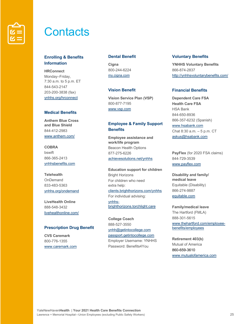

## **Contacts**

## **Enrolling & Benefits Information**

**HRConnect** Monday–Friday, 7:30 a.m. to 5 p.m. ET 844-543-2147 203-200-3838 (fax) ynhhs.org/hrconnect

## **Medical Benefits**

**Anthem Blue Cross and Blue Shield** 844-412-2983 www.anthem.com/

**COBRA** bswift 866-365-2413 ynhhsbenefits.com

**Telehealth OnDemand** 833-483-5363 ynhhs.org/ondemand

**LiveHealth Online** 888-548-3432 livehealthonline.com/

### **Prescription Drug Benefit**

**CVS Caremark** 800-776-1355 www.caremark.com

### **Dental Benefit**

**Cigna** 800-244-6224 my.cigna.com

## **Vision Benefit**

**Vision Service Plan (VSP)** 800-877-7195 www.vsp.com

## **Employee & Family Support Benefits**

**Employee assistance and work/life program** Beacon Health Options 877-275-6226 achievesolutions.net/ynhhs

**Education support for children** Bright Horizons For children who need extra help: clients.brighthorizons.com/ynhhs For individual advising: ynhhsbrighthorizons.torchlight.care

**College Coach**  888-527-3550 ynhh@getintocollege.com passport.getintocollege.com Employer Username: YNHHS Password: Benefits4You

#### **Voluntary Benefits**

**YNHHS Voluntary Benefits** 866-874-2837 http://ynhhsvoluntarybenefits.com/

## **Financial Benefits**

**Dependent Care FSA Health Care FSA** HSA Bank 844-650-8936 866-357-6232 (Spanish) www.hsabank.com Chat 8:30 a.m. – 5 p.m. CT askus@hsabank.com

**PayFlex** (for 2020 FSA claims) 844-729-3539 www.payflex.com

**Disability and family/ medical leave** Equitable (Disability) 866-274-9887 equitable.com

**Family/medical leave** The Hartford (FMLA) 888-301-5615 www.thehartford.com/employeebenefits/employees

**Retirement 403(b)** Mutual of America 860-659-3610 www.mutualofamerica.com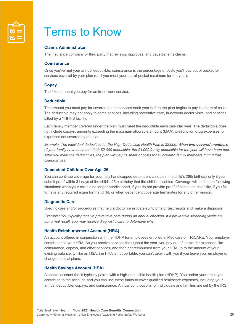

## Terms to Know

## **Claims Administrator**

The insurance company or third party that reviews, approves, and pays benefits claims.

### **Coinsurance**

Once you've met your annual deductible, coinsurance is the percentage of costs you'll pay out of pocket for services covered by your plan (until you meet your out-of-pocket maximum for the year).

#### **Copay**

The fixed amount you pay for an in-network service.

#### **Deductible**

The amount you must pay for covered health services each year before the plan begins to pay its share of costs. The deductible may not apply to some services, including preventive care, in-network doctor visits, and services billed by a YNHHS facility.

Each family member covered under the plan must meet the deductible each calendar year. The deductible does not include copays, amounts exceeding the maximum allowable amount (MAA), prescription drug expenses, or expenses not covered by the plan.

*Example: The individual deductible for the High-Deductible Health Plan is \$2,000. When two covered members of your family have each met their \$2,000 deductible, the \$4,000 family deductible for the year will have been met.*  After you meet the deductibles, the plan will pay its share of costs for all covered family members during that *calendar year.* 

#### **Dependent Children Over Age 26**

You can continue coverage for your fully handicapped dependent child past the child's 26th birthday only if you submit proof within 31 days of the child's 26th birthday that the child is disabled. Coverage will end in the following situations: when your child is no longer handicapped, if you do not provide proof of continued disability, if you fail to have any required exam for that child, or when dependent coverage terminates for any other reason.

#### **Diagnostic Care**

Specific care and/or procedures that help a doctor investigate symptoms or test results and make a diagnosis.

*Example: You typically receive preventive care during an annual checkup. If a preventive screening yields an abnormal result, you may receive diagnostic care to determine why.* 

#### **Health Reimbursement Account (HRA)**

An account offered in conjunction with the HDHP for employees enrolled in Medicare or TRICARE. Your employer contributes to your HRA. As you receive services throughout the year, you pay out of pocket for expenses like coinsurance, copays, and other services, and then get reimbursed from your HRA up to the amount of your existing balance. Unlike an HSA, the HRA is not portable; you can't take it with you if you leave your employer or change medical plans.

#### **Health Savings Account (HSA)**

A special account that's typically paired with a high-deductible health plan (HDHP). You and/or your employer contribute to the account, and you can use these funds to cover qualified healthcare expenses, including your annual deductible, copays, and coinsurance. Annual contributions for individuals and families are set by the IRS;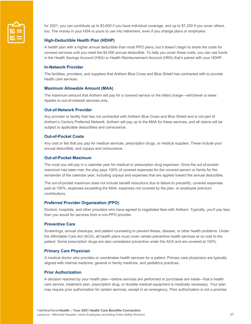

for 2021, you can contribute up to \$3,600 if you have individual coverage, and up to \$7,200 if you cover others, too. The money in your HSA is yours to use into retirement, even if you change plans or employers.

## **High-Deductible Health Plan (HDHP)**

A health plan with a higher annual deductible than most PPO plans, but it doesn't begin to share the costs for covered services until you meet the \$4,000 annual deductible. To help you cover these costs, you can use funds in the Health Savings Account (HSA) or Health Reimbursement Account (HRA) that's paired with your HDHP.

#### **In-Network Provider**

The facilities, providers, and suppliers that Anthem Blue Cross and Blue Shield has contracted with to provide health care services.

#### **Maximum Allowable Amount (MAA)**

The maximum amount that Anthem will pay for a covered service or the billed charge—whichever is lower. Applies to out-of-network services only.

#### **Out-of-Network Provider**

Any provider or facility that has not contracted with Anthem Blue Cross and Blue Shield and is not part of Anthem's Century Preferred Network. Anthem will pay up to the MAA for these services, and all claims will be subject to applicable deductibles and coinsurance.

#### **Out-of-Pocket Costs**

Any cost or fee that you pay for medical services, prescription drugs, or medical supplies. These include your annual deductible, and copays and coinsurance.

#### **Out-of-Pocket Maximum**

The most you will pay in a calendar year for medical or prescription drug expenses. Once the out-of-pocket maximum has been met, the play pays 100% of covered expenses for the covered person or family for the remainder of the calendar year, including copays and expenses that are applied toward the annual deductible.

The out-of-pocket maximum does not include benefit reductions due to failure to precertify, covered expenses paid at 100%, expenses exceeding the MAA, expenses not covered by the plan, or employee premium contributions.

### **Preferred Provider Organization (PPO)**

Doctors, hospitals, and other providers who have agreed to negotiated fees with Anthem. Typically, you'll pay less than you would for services from a non-PPO provider.

#### **Preventive Care**

Screenings, annual checkups, and patient counseling to prevent illness, disease, or other health problems. Under the Affordable Care Act (ACA), all health plans must cover certain preventive health services at no cost to the patient. Some prescription drugs are also considered preventive under the ACA and are covered at 100%.

### **Primary Care Physician**

A medical doctor who provides or coordinates health services for a patient. Primary care physicians are typically aligned with internal medicine, general or family medicine, and pediatrics practices.

### **Prior Authorization**

A decision reached by your health plan—before services are performed or purchases are made—that a health care service, treatment plan, prescription drug, or durable medical equipment is medically necessary. Your plan may require prior authorization for certain services, except in an emergency. Prior authorization is not a promise